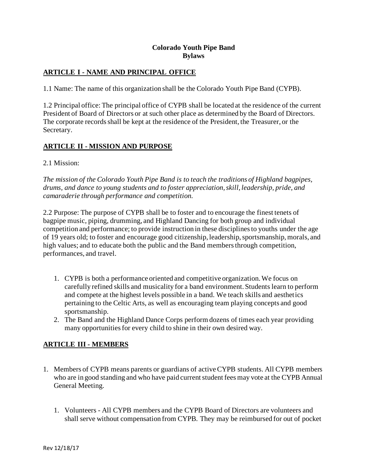### **Colorado Youth Pipe Band Bylaws**

### **ARTICLE I - NAME AND PRINCIPAL OFFICE**

1.1 Name: The name of this organization shall be the Colorado Youth Pipe Band (CYPB).

1.2 Principal office: The principal office of CYPB shall be located at the residence of the current President of Board of Directors or at such other place as determined by the Board of Directors. The corporate records shall be kept at the residence of the President, the Treasurer, or the Secretary.

#### **ARTICLE II - MISSION AND PURPOSE**

#### 2.1 Mission:

*The mission of the Colorado Youth Pipe Band is to teach the traditions of Highland bagpipes, drums, and dance to young students and to foster appreciation, skill, leadership, pride, and camaraderie through performance and competition.*

2.2 Purpose: The purpose of CYPB shall be to foster and to encourage the finest tenets of bagpipe music, piping, drumming, and Highland Dancing for both group and individual competition and performance; to provide instruction in these disciplines to youths under the age of 19 years old; to foster and encourage good citizenship, leadership, sportsmanship, morals, and high values; and to educate both the public and the Band members through competition, performances, and travel.

- 1. CYPB is both a performance oriented and competitive organization. We focus on carefully refined skills and musicality for a band environment. Students learn to perform and compete at the highest levels possible in a band. We teach skills and aesthetics pertaining to the Celtic Arts, as well as encouraging team playing concepts and good sportsmanship.
- 2. The Band and the Highland Dance Corps perform dozens of times each year providing many opportunities for every child to shine in their own desired way.

#### **ARTICLE III - MEMBERS**

- 1. Members of CYPB means parents or guardians of active CYPB students. All CYPB members who are in good standing and who have paid current student fees may vote at the CYPB Annual General Meeting.
	- 1. Volunteers All CYPB members and the CYPB Board of Directors are volunteers and shall serve without compensation from CYPB. They may be reimbursed for out of pocket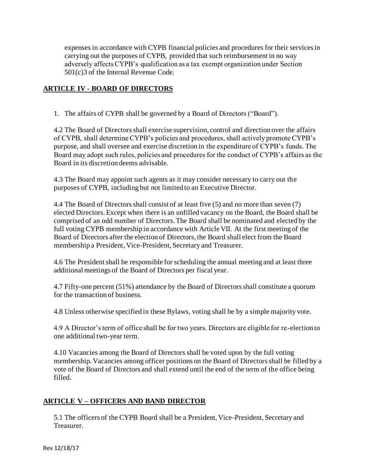expenses in accordance with CYPB financial policies and procedures for their services in carrying out the purposes of CYPB, provided that such reimbursement in no way adversely affects CYPB's qualification as a tax exempt organization under Section 501(c)3 of the Internal Revenue Code.

### **ARTICLE IV - BOARD OF DIRECTORS**

1. The affairs of CYPB shall be governed by a Board of Directors ("Board").

4.2 The Board of Directors shall exercise supervision, control and direction over the affairs of CYPB, shall determine CYPB's policies and procedures, shall actively promote CYPB's purpose, and shall oversee and exercise discretion in the expenditure of CYPB's funds. The Board may adopt such rules, policies and procedures for the conduct of CYPB's affairs as the Board in its discretion deems advisable.

4.3 The Board may appoint such agents as it may consider necessary to carry out the purposes of CYPB, including but not limited to an Executive Director.

4.4 The Board of Directors shall consist of at least five (5) and no more than seven (7) elected Directors. Except when there is an unfilled vacancy on the Board, the Board shall be comprised of an odd number of Directors. The Board shall be nominated and elected by the full voting CYPB membership in accordance with Article VII. At the first meeting of the Board of Directors after the election of Directors, the Board shall elect from the Board membership a President, Vice-President, Secretary and Treasurer.

4.6 The President shall be responsible for scheduling the annual meeting and at least three additional meetings of the Board of Directors per fiscal year.

4.7 Fifty-one percent (51%) attendance by the Board of Directors shall constitute a quorum for the transaction of business.

4.8 Unless otherwise specified in these Bylaws, voting shall be by a simple majority vote.

4.9 A Director's term of office shall be for two years. Directors are eligible for re-election to one additional two-year term.

4.10 Vacancies among the Board of Directors shall be voted upon by the full voting membership. Vacancies among officer positions on the Board of Directors shall be filled by a vote of the Board of Directors and shall extend until the end of the term of the office being filled.

#### **ARTICLE V – OFFICERS AND BAND DIRECTOR**

5.1 The officers of the CYPB Board shall be a President, Vice-President, Secretary and Treasurer.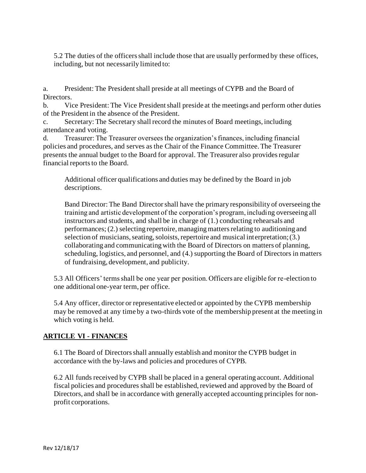5.2 The duties of the officers shall include those that are usually performed by these offices, including, but not necessarily limited to:

a. President: The President shall preside at all meetings of CYPB and the Board of Directors.

b. Vice President: The Vice President shall preside at the meetings and perform other duties of the President in the absence of the President.

c. Secretary: The Secretary shall record the minutes of Board meetings, including attendance and voting.

d. Treasurer: The Treasurer oversees the organization's finances, including financial policies and procedures, and serves as the Chair of the Finance Committee. The Treasurer presents the annual budget to the Board for approval. The Treasurer also provides regular financial reports to the Board.

Additional officer qualifications and duties may be defined by the Board in job descriptions.

Band Director: The Band Director shall have the primary responsibility of overseeing the training and artistic development of the corporation's program, including overseeing all instructors and students, and shall be in charge of (1.) conducting rehearsals and performances; (2.) selecting repertoire, managing matters relating to auditioning and selection of musicians, seating, soloists, repertoire and musical interpretation; (3.) collaborating and communicating with the Board of Directors on matters of planning, scheduling, logistics, and personnel, and (4.) supporting the Board of Directors in matters of fundraising, development, and publicity.

5.3 All Officers' terms shall be one year per position. Officers are eligible for re-election to one additional one-year term, per office.

5.4 Any officer, director or representative elected or appointed by the CYPB membership may be removed at any time by a two-thirds vote of the membership present at the meeting in which voting is held.

# **ARTICLE VI - FINANCES**

6.1 The Board of Directors shall annually establish and monitor the CYPB budget in accordance with the by-laws and policies and procedures of CYPB.

6.2 All funds received by CYPB shall be placed in a general operating account. Additional fiscal policies and procedures shall be established, reviewed and approved by the Board of Directors, and shall be in accordance with generally accepted accounting principles for nonprofit corporations.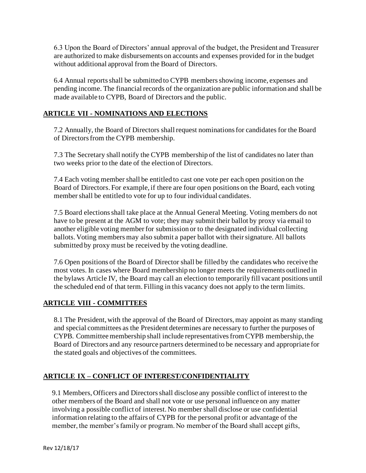6.3 Upon the Board of Directors' annual approval of the budget, the President and Treasurer are authorized to make disbursements on accounts and expenses provided for in the budget without additional approval from the Board of Directors.

6.4 Annual reports shall be submitted to CYPB members showing income, expenses and pending income. The financial records of the organization are public information and shall be made available to CYPB, Board of Directors and the public.

### **ARTICLE VII - NOMINATIONS AND ELECTIONS**

7.2 Annually, the Board of Directors shall request nominations for candidates for the Board of Directors from the CYPB membership.

7.3 The Secretary shall notify the CYPB membership of the list of candidates no later than two weeks prior to the date of the election of Directors.

7.4 Each voting member shall be entitled to cast one vote per each open position on the Board of Directors. For example, if there are four open positions on the Board, each voting member shall be entitled to vote for up to four individual candidates.

7.5 Board elections shall take place at the Annual General Meeting. Voting members do not have to be present at the AGM to vote; they may submit their ballot by proxy via email to another eligible voting member for submission or to the designated individual collecting ballots. Voting members may also submit a paper ballot with their signature. All ballots submitted by proxy must be received by the voting deadline.

7.6 Open positions of the Board of Director shall be filled by the candidates who receive the most votes. In cases where Board membership no longer meets the requirements outlined in the bylaws Article IV, the Board may call an election to temporarily fill vacant positions until the scheduled end of that term. Filling in this vacancy does not apply to the term limits.

#### **ARTICLE VIII - COMMITTEES**

8.1 The President, with the approval of the Board of Directors, may appoint as many standing and special committees as the President determines are necessary to further the purposes of CYPB. Committee membership shall include representatives from CYPB membership, the Board of Directors and any resource partners determined to be necessary and appropriate for the stated goals and objectives of the committees.

# **ARTICLE IX – CONFLICT OF INTEREST/CONFIDENTIALITY**

9.1 Members, Officers and Directors shall disclose any possible conflict of interest to the other members of the Board and shall not vote or use personal influence on any matter involving a possible conflict of interest. No member shall disclose or use confidential information relating to the affairs of CYPB for the personal profit or advantage of the member, the member's family or program. No member of the Board shall accept gifts,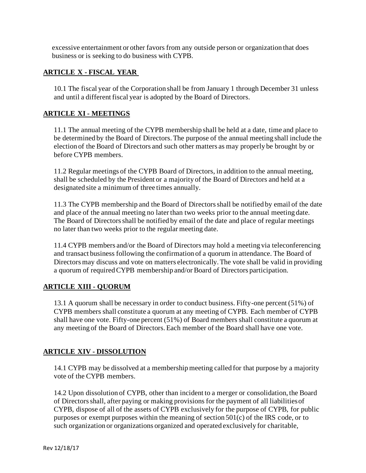excessive entertainment or other favors from any outside person or organization that does business or is seeking to do business with CYPB.

#### **ARTICLE X - FISCAL YEAR**

10.1 The fiscal year of the Corporation shall be from January 1 through December 31 unless and until a different fiscal year is adopted by the Board of Directors.

#### **ARTICLE XI - MEETINGS**

11.1 The annual meeting of the CYPB membership shall be held at a date, time and place to be determined by the Board of Directors. The purpose of the annual meeting shall include the election of the Board of Directors and such other matters as may properly be brought by or before CYPB members.

11.2 Regular meetings of the CYPB Board of Directors, in addition to the annual meeting, shall be scheduled by the President or a majority of the Board of Directors and held at a designated site a minimum of three times annually.

11.3 The CYPB membership and the Board of Directors shall be notified by email of the date and place of the annual meeting no later than two weeks prior to the annual meeting date. The Board of Directors shall be notified by email of the date and place of regular meetings no later than two weeks prior to the regular meeting date.

11.4 CYPB members and/or the Board of Directors may hold a meeting via teleconferencing and transact business following the confirmation of a quorum in attendance. The Board of Directors may discuss and vote on matters electronically. The vote shall be valid in providing a quorum of required CYPB membership and/or Board of Directors participation.

#### **ARTICLE XIII - QUORUM**

13.1 A quorum shall be necessary in order to conduct business. Fifty-one percent (51%) of CYPB members shall constitute a quorum at any meeting of CYPB. Each member of CYPB shall have one vote. Fifty-one percent (51%) of Board members shall constitute a quorum at any meeting of the Board of Directors. Each member of the Board shall have one vote.

#### **ARTICLE XIV - DISSOLUTION**

14.1 CYPB may be dissolved at a membership meeting called for that purpose by a majority vote of the CYPB members.

14.2 Upon dissolution of CYPB, other than incident to a merger or consolidation, the Board of Directors shall, after paying or making provisions for the payment of all liabilities of CYPB, dispose of all of the assets of CYPB exclusively for the purpose of CYPB, for public purposes or exempt purposes within the meaning of section 501(c) of the IRS code, or to such organization or organizations organized and operated exclusively for charitable,